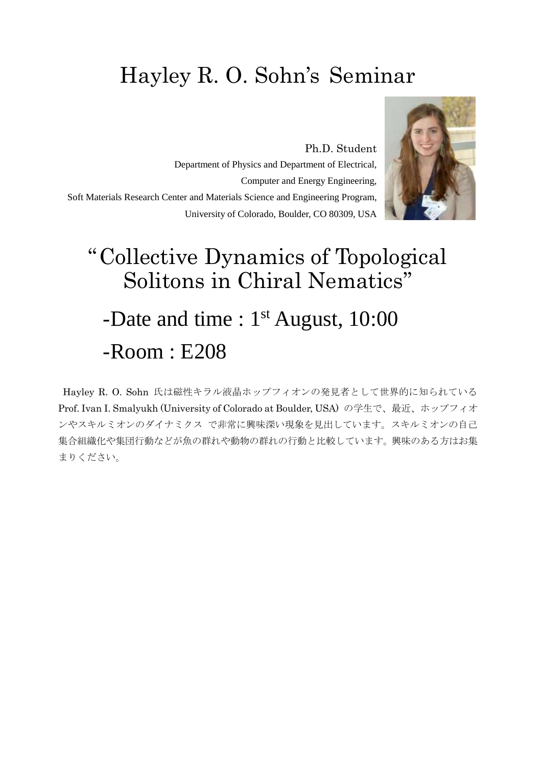## Hayley R. O. Sohn's Seminar

Ph.D. Student Department of Physics and Department of Electrical, Computer and Energy Engineering, Soft Materials Research Center and Materials Science and Engineering Program, University of Colorado, Boulder, CO 80309, USA



## "Collective Dynamics of Topological Solitons in Chiral Nematics" -Date and time : 1<sup>st</sup> August, 10:00 -Room : E208

Hayley R. O. Sohn 氏は磁性キラル液晶ホップフィオンの発見者として世界的に知られている Prof. Ivan I. Smalyukh (University of Colorado at Boulder, USA) の学生で、最近、ホップフィオ ンやスキルミオンのダイナミクス で非常に興味深い現象を見出しています。スキルミオンの自己 集合組織化や集団行動などが魚の群れや動物の群れの行動と比較しています。興味のある方はお集 まりください。